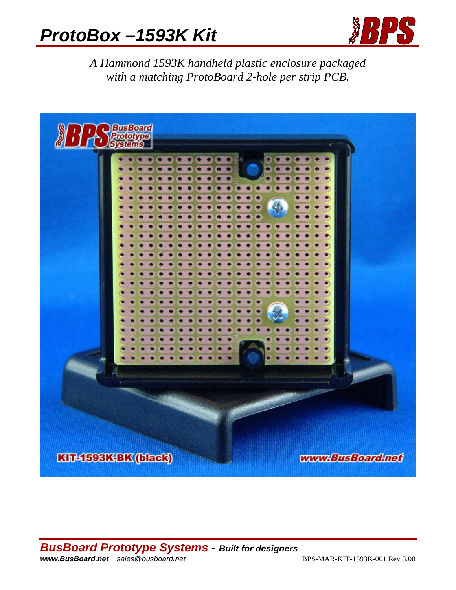# *ProtoBox –1593K Kit*



*A Hammond 1593K handheld plastic enclosure packaged with a matching ProtoBoard 2-hole per strip PCB.* 

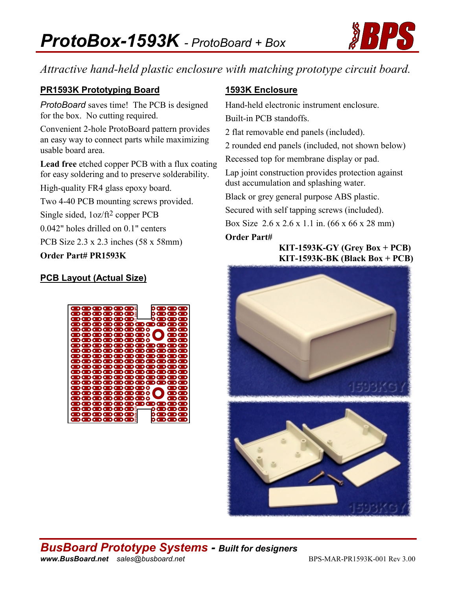

## *Attractive hand-held plastic enclosure with matching prototype circuit board.*

#### **PR1593K Prototyping Board**

*ProtoBoard* saves time! The PCB is designed for the box. No cutting required.

Convenient 2-hole ProtoBoard pattern provides an easy way to connect parts while maximizing usable board area.

**Lead free** etched copper PCB with a flux coating for easy soldering and to preserve solderability.

High-quality FR4 glass epoxy board.

Two 4-40 PCB mounting screws provided.

Single sided, 1oz/ft2 copper PCB

0.042" holes drilled on 0.1" centers

PCB Size 2.3 x 2.3 inches (58 x 58mm)

#### **Order Part# PR1593K**

#### **PCB Layout (Actual Size)**



#### **1593K Enclosure**

Hand-held electronic instrument enclosure.

Built-in PCB standoffs.

2 flat removable end panels (included).

2 rounded end panels (included, not shown below)

Recessed top for membrane display or pad.

Lap joint construction provides protection against dust accumulation and splashing water.

Black or grey general purpose ABS plastic.

Secured with self tapping screws (included).

Box Size 2.6 x 2.6 x 1.1 in. (66 x 66 x 28 mm)

#### **Order Part#**

#### **KIT-1593K-GY (Grey Box + PCB) KIT-1593K-BK (Black Box + PCB)**